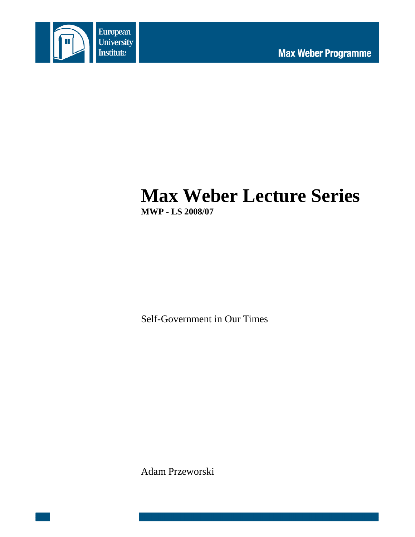

# **Max Weber Lecture Series MWP - LS 2008/07**

Self-Government in Our Times

Adam Przeworski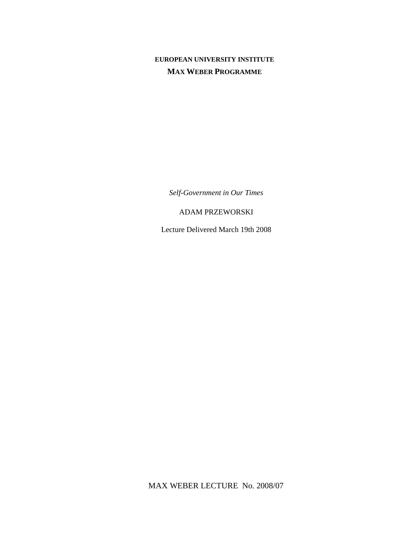# **EUROPEAN UNIVERSITY INSTITUTE MAX WEBER PROGRAMME**

*Self-Government in Our Times* 

# ADAM PRZEWORSKI

Lecture Delivered March 19th 2008

MAX WEBER LECTURE No. 2008/07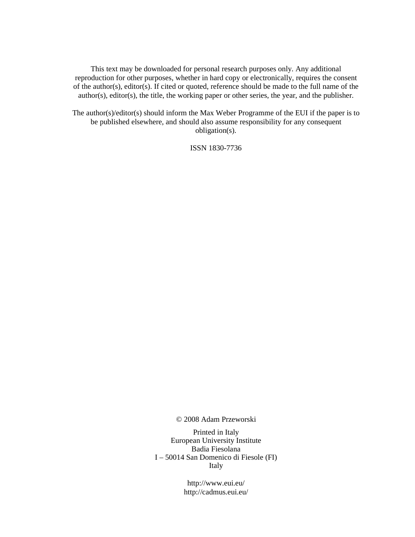This text may be downloaded for personal research purposes only. Any additional reproduction for other purposes, whether in hard copy or electronically, requires the consent of the author(s), editor(s). If cited or quoted, reference should be made to the full name of the author(s), editor(s), the title, the working paper or other series, the year, and the publisher.

The author(s)/editor(s) should inform the Max Weber Programme of the EUI if the paper is to be published elsewhere, and should also assume responsibility for any consequent obligation(s).

ISSN 1830-7736

© 2008 Adam Przeworski

Printed in Italy European University Institute Badia Fiesolana I – 50014 San Domenico di Fiesole (FI) Italy

> http://www.eui.eu/ http://cadmus.eui.eu/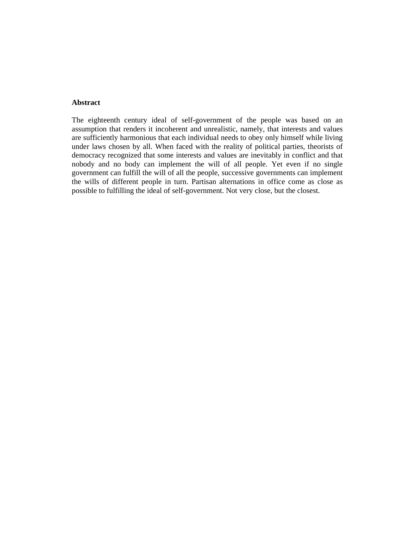## **Abstract**

The eighteenth century ideal of self-government of the people was based on an assumption that renders it incoherent and unrealistic, namely, that interests and values are sufficiently harmonious that each individual needs to obey only himself while living under laws chosen by all. When faced with the reality of political parties, theorists of democracy recognized that some interests and values are inevitably in conflict and that nobody and no body can implement the will of all people. Yet even if no single government can fulfill the will of all the people, successive governments can implement the wills of different people in turn. Partisan alternations in office come as close as possible to fulfilling the ideal of self-government. Not very close, but the closest.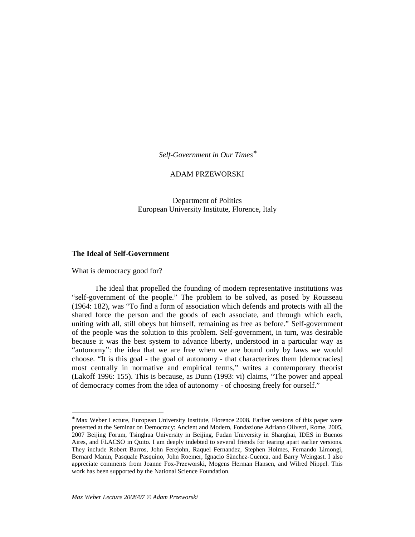*Self-Government in Our Times*<sup>∗</sup>

#### ADAM PRZEWORSKI

Department of Politics European University Institute, Florence, Italy

#### **The Ideal of Self-Government**

What is democracy good for?

-

The ideal that propelled the founding of modern representative institutions was "self-government of the people." The problem to be solved, as posed by Rousseau (1964: 182), was "To find a form of association which defends and protects with all the shared force the person and the goods of each associate, and through which each, uniting with all, still obeys but himself, remaining as free as before." Self-government of the people was the solution to this problem. Self-government, in turn, was desirable because it was the best system to advance liberty, understood in a particular way as "autonomy": the idea that we are free when we are bound only by laws we would choose. "It is this goal - the goal of autonomy - that characterizes them [democracies] most centrally in normative and empirical terms," writes a contemporary theorist (Lakoff 1996: 155). This is because, as Dunn (1993: vi) claims, "The power and appeal of democracy comes from the idea of autonomy - of choosing freely for ourself."

<sup>∗</sup> Max Weber Lecture, European University Institute, Florence 2008. Earlier versions of this paper were presented at the Seminar on Democracy: Ancient and Modern, Fondazione Adriano Olivetti, Rome, 2005, 2007 Beijing Forum, Tsinghua University in Beijing, Fudan University in Shanghai, IDES in Buenos Aires, and FLACSO in Quito. I am deeply indebted to several friends for tearing apart earlier versions. They include Robert Barros, John Ferejohn, Raquel Fernandez, Stephen Holmes, Fernando Limongi, Bernard Manin, Pasquale Pasquino, John Roemer, Ignacio Sànchez-Cuenca, and Barry Weingast. I also appreciate comments from Joanne Fox-Przeworski, Mogens Herman Hansen, and Wilred Nippel. This work has been supported by the National Science Foundation.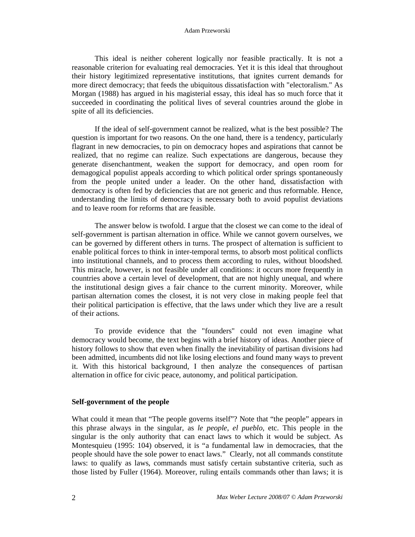#### Adam Przeworski

This ideal is neither coherent logically nor feasible practically. It is not a reasonable criterion for evaluating real democracies. Yet it is this ideal that throughout their history legitimized representative institutions, that ignites current demands for more direct democracy; that feeds the ubiquitous dissatisfaction with "electoralism." As Morgan (1988) has argued in his magisterial essay, this ideal has so much force that it succeeded in coordinating the political lives of several countries around the globe in spite of all its deficiencies.

If the ideal of self-government cannot be realized, what is the best possible? The question is important for two reasons. On the one hand, there is a tendency, particularly flagrant in new democracies, to pin on democracy hopes and aspirations that cannot be realized, that no regime can realize. Such expectations are dangerous, because they generate disenchantment, weaken the support for democracy, and open room for demagogical populist appeals according to which political order springs spontaneously from the people united under a leader. On the other hand, dissatisfaction with democracy is often fed by deficiencies that are not generic and thus reformable. Hence, understanding the limits of democracy is necessary both to avoid populist deviations and to leave room for reforms that are feasible.

The answer below is twofold. I argue that the closest we can come to the ideal of self-government is partisan alternation in office. While we cannot govern ourselves, we can be governed by different others in turns. The prospect of alternation is sufficient to enable political forces to think in inter-temporal terms, to absorb most political conflicts into institutional channels, and to process them according to rules, without bloodshed. This miracle, however, is not feasible under all conditions: it occurs more frequently in countries above a certain level of development, that are not highly unequal, and where the institutional design gives a fair chance to the current minority. Moreover, while partisan alternation comes the closest, it is not very close in making people feel that their political participation is effective, that the laws under which they live are a result of their actions.

To provide evidence that the "founders" could not even imagine what democracy would become, the text begins with a brief history of ideas. Another piece of history follows to show that even when finally the inevitability of partisan divisions had been admitted, incumbents did not like losing elections and found many ways to prevent it. With this historical background, I then analyze the consequences of partisan alternation in office for civic peace, autonomy, and political participation.

#### **Self-government of the people**

What could it mean that "The people governs itself"? Note that "the people" appears in this phrase always in the singular, as *le people*, *el pueblo*, etc. This people in the singular is the only authority that can enact laws to which it would be subject. As Montesquieu (1995: 104) observed, it is "a fundamental law in democracies, that the people should have the sole power to enact laws." Clearly, not all commands constitute laws: to qualify as laws, commands must satisfy certain substantive criteria, such as those listed by Fuller (1964). Moreover, ruling entails commands other than laws; it is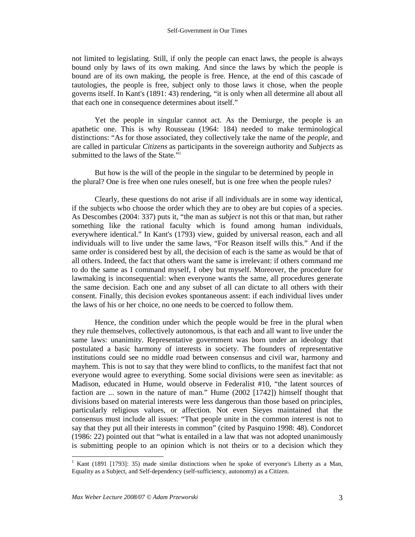not limited to legislating. Still, if only the people can enact laws, the people is always bound only by laws of its own making. And since the laws by which the people is bound are of its own making, the people is free. Hence, at the end of this cascade of tautologies, the people is free, subject only to those laws it chose, when the people governs itself. In Kant's (1891: 43) rendering, "it is only when all determine all about all that each one in consequence determines about itself."

Yet the people in singular cannot act. As the Demiurge, the people is an apathetic one. This is why Rousseau (1964: 184) needed to make terminological distinctions: "As for those associated, they collectively take the name of the *people*, and are called in particular *Citizens* as participants in the sovereign authority and *Subjects* as submitted to the laws of the State."<sup>1</sup>

But how is the will of the people in the singular to be determined by people in the plural? One is free when one rules oneself, but is one free when the people rules?

Clearly, these questions do not arise if all individuals are in some way identical, if the subjects who choose the order which they are to obey are but copies of a species. As Descombes (2004: 337) puts it, "the man as *subject* is not this or that man, but rather something like the rational faculty which is found among human individuals, everywhere identical." In Kant's (1793) view, guided by universal reason, each and all individuals will to live under the same laws, "For Reason itself wills this." And if the same order is considered best by all, the decision of each is the same as would be that of all others. Indeed, the fact that others want the same is irrelevant: if others command me to do the same as I command myself, I obey but myself. Moreover, the procedure for lawmaking is inconsequential: when everyone wants the same, all procedures generate the same decision. Each one and any subset of all can dictate to all others with their consent. Finally, this decision evokes spontaneous assent: if each individual lives under the laws of his or her choice, no one needs to be coerced to follow them.

Hence, the condition under which the people would be free in the plural when they rule themselves, collectively autonomous, is that each and all want to live under the same laws: unanimity. Representative government was born under an ideology that postulated a basic harmony of interests in society. The founders of representative institutions could see no middle road between consensus and civil war, harmony and mayhem. This is not to say that they were blind to conflicts, to the manifest fact that not everyone would agree to everything. Some social divisions were seen as inevitable: as Madison, educated in Hume, would observe in Federalist #10, "the latent sources of faction are ... sown in the nature of man." Hume (2002 [1742]) himself thought that divisions based on material interests were less dangerous than those based on principles, particularly religious values, or affection. Not even Sieyes maintained that the consensus must include all issues: "That people unite in the common interest is not to say that they put all their interests in common" (cited by Pasquino 1998: 48). Condorcet (1986: 22) pointed out that "what is entailed in a law that was not adopted unanimously is submitting people to an opinion which is not theirs or to a decision which they

<sup>&</sup>lt;sup>1</sup> Kant (1891 [1793]: 35) made similar distinctions when he spoke of everyone's Liberty as a Man, Equality as a Subject, and Self-dependency (self-sufficiency, autonomy) as a Citizen.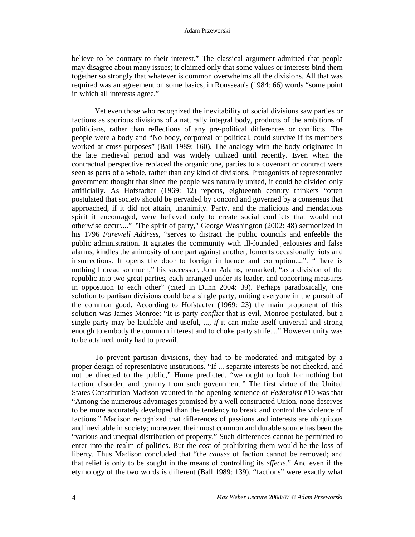believe to be contrary to their interest." The classical argument admitted that people may disagree about many issues; it claimed only that some values or interests bind them together so strongly that whatever is common overwhelms all the divisions. All that was required was an agreement on some basics, in Rousseau's (1984: 66) words "some point in which all interests agree."

Yet even those who recognized the inevitability of social divisions saw parties or factions as spurious divisions of a naturally integral body, products of the ambitions of politicians, rather than reflections of any pre-political differences or conflicts. The people were a body and "No body, corporeal or political, could survive if its members worked at cross-purposes" (Ball 1989: 160). The analogy with the body originated in the late medieval period and was widely utilized until recently. Even when the contractual perspective replaced the organic one, parties to a covenant or contract were seen as parts of a whole, rather than any kind of divisions. Protagonists of representative government thought that since the people was naturally united, it could be divided only artificially. As Hofstadter (1969: 12) reports, eighteenth century thinkers "often postulated that society should be pervaded by concord and governed by a consensus that approached, if it did not attain, unanimity. Party, and the malicious and mendacious spirit it encouraged, were believed only to create social conflicts that would not otherwise occur...." "The spirit of party," George Washington (2002: 48) sermonized in his 1796 *Farewell Address*, "serves to distract the public councils and enfeeble the public administration. It agitates the community with ill-founded jealousies and false alarms, kindles the animosity of one part against another, foments occasionally riots and insurrections. It opens the door to foreign influence and corruption....". "There is nothing I dread so much," his successor, John Adams, remarked, "as a division of the republic into two great parties, each arranged under its leader, and concerting measures in opposition to each other" (cited in Dunn 2004: 39). Perhaps paradoxically, one solution to partisan divisions could be a single party, uniting everyone in the pursuit of the common good. According to Hofstadter (1969: 23) the main proponent of this solution was James Monroe: "It is party *conflict* that is evil, Monroe postulated, but a single party may be laudable and useful, ..., *if* it can make itself universal and strong enough to embody the common interest and to choke party strife...." However unity was to be attained, unity had to prevail.

To prevent partisan divisions, they had to be moderated and mitigated by a proper design of representative institutions. "If ... separate interests be not checked, and not be directed to the public," Hume predicted, "we ought to look for nothing but faction, disorder, and tyranny from such government." The first virtue of the United States Constitution Madison vaunted in the opening sentence of *Federalist* #10 was that "Among the numerous advantages promised by a well constructed Union, none deserves to be more accurately developed than the tendency to break and control the violence of factions." Madison recognized that differences of passions and interests are ubiquitous and inevitable in society; moreover, their most common and durable source has been the "various and unequal distribution of property." Such differences cannot be permitted to enter into the realm of politics. But the cost of prohibiting them would be the loss of liberty. Thus Madison concluded that "the *causes* of faction cannot be removed; and that relief is only to be sought in the means of controlling its *effects*." And even if the etymology of the two words is different (Ball 1989: 139), "factions" were exactly what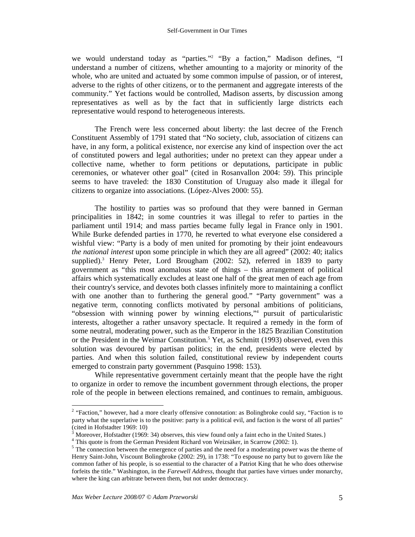we would understand today as "parties."<sup>2</sup> "By a faction," Madison defines, "I understand a number of citizens, whether amounting to a majority or minority of the whole, who are united and actuated by some common impulse of passion, or of interest, adverse to the rights of other citizens, or to the permanent and aggregate interests of the community." Yet factions would be controlled, Madison asserts, by discussion among representatives as well as by the fact that in sufficiently large districts each representative would respond to heterogeneous interests.

The French were less concerned about liberty: the last decree of the French Constituent Assembly of 1791 stated that "No society, club, association of citizens can have, in any form, a political existence, nor exercise any kind of inspection over the act of constituted powers and legal authorities; under no pretext can they appear under a collective name, whether to form petitions or deputations, participate in public ceremonies, or whatever other goal" (cited in Rosanvallon 2004: 59). This principle seems to have traveled: the 1830 Constitution of Uruguay also made it illegal for citizens to organize into associations. (López-Alves 2000: 55).

The hostility to parties was so profound that they were banned in German principalities in 1842; in some countries it was illegal to refer to parties in the parliament until 1914; and mass parties became fully legal in France only in 1901. While Burke defended parties in 1770, he reverted to what everyone else considered a wishful view: "Party is a body of men united for promoting by their joint endeavours *the national interest* upon some principle in which they are all agreed" (2002: 40; italics supplied).<sup>3</sup> Henry Peter, Lord Brougham (2002: 52), referred in 1839 to party government as "this most anomalous state of things – this arrangement of political affairs which systematically excludes at least one half of the great men of each age from their country's service, and devotes both classes infinitely more to maintaining a conflict with one another than to furthering the general good." "Party government" was a negative term, connoting conflicts motivated by personal ambitions of politicians, "obsession with winning power by winning elections,"<sup>4</sup> pursuit of particularistic interests, altogether a rather unsavory spectacle. It required a remedy in the form of some neutral, moderating power, such as the Emperor in the 1825 Brazilian Constitution or the President in the Weimar Constitution.<sup>5</sup> Yet, as Schmitt (1993) observed, even this solution was devoured by partisan politics; in the end, presidents were elected by parties. And when this solution failed, constitutional review by independent courts emerged to constrain party government (Pasquino 1998: 153).

While representative government certainly meant that the people have the right to organize in order to remove the incumbent government through elections, the proper role of the people in between elections remained, and continues to remain, ambiguous.

<sup>&</sup>lt;sup>2</sup> "Faction," however, had a more clearly offensive connotation: as Bolingbroke could say, "Faction is to party what the superlative is to the positive: party is a political evil, and faction is the worst of all parties" (cited in Hofstadter 1969: 10)

<sup>3</sup> Moreover, Hofstadter (1969: 34) observes, this view found only a faint echo in the United States.}

<sup>&</sup>lt;sup>4</sup> This quote is from the German President Richard von Weizsäker, in Scarrow (2002: 1).

 $<sup>5</sup>$  The connection between the emergence of parties and the need for a moderating power was the theme of</sup> Henry Saint-John, Viscount Bolingbroke (2002: 29), in 1738: "To espouse no party but to govern like the common father of his people, is so essential to the character of a Patriot King that he who does otherwise forfeits the title." Washington, in the *Farewell Address*, thought that parties have virtues under monarchy, where the king can arbitrate between them, but not under democracy.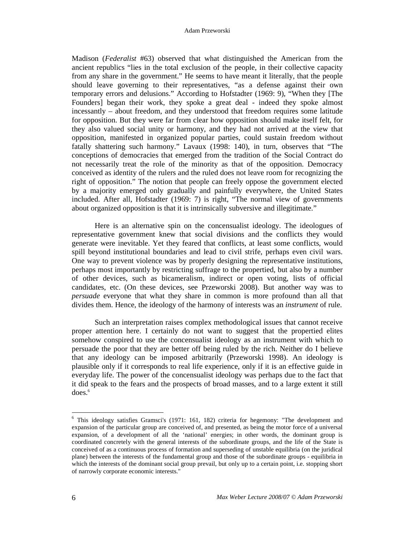Madison (*Federalist* #63) observed that what distinguished the American from the ancient republics "lies in the total exclusion of the people, in their collective capacity from any share in the government." He seems to have meant it literally, that the people should leave governing to their representatives, "as a defense against their own temporary errors and delusions." According to Hofstadter (1969: 9), "When they [The Founders] began their work, they spoke a great deal - indeed they spoke almost incessantly – about freedom, and they understood that freedom requires some latitude for opposition. But they were far from clear how opposition should make itself felt, for they also valued social unity or harmony, and they had not arrived at the view that opposition, manifested in organized popular parties, could sustain freedom without fatally shattering such harmony." Lavaux (1998: 140), in turn, observes that "The conceptions of democracies that emerged from the tradition of the Social Contract do not necessarily treat the role of the minority as that of the opposition. Democracy conceived as identity of the rulers and the ruled does not leave room for recognizing the right of opposition." The notion that people can freely oppose the government elected by a majority emerged only gradually and painfully everywhere, the United States included. After all, Hofstadter (1969: 7) is right, "The normal view of governments about organized opposition is that it is intrinsically subversive and illegitimate."

Here is an alternative spin on the concensualist ideology. The ideologues of representative government knew that social divisions and the conflicts they would generate were inevitable. Yet they feared that conflicts, at least some conflicts, would spill beyond institutional boundaries and lead to civil strife, perhaps even civil wars. One way to prevent violence was by properly designing the representative institutions, perhaps most importantly by restricting suffrage to the propertied, but also by a number of other devices, such as bicameralism, indirect or open voting, lists of official candidates, etc. (On these devices, see Przeworski 2008). But another way was to *persuade* everyone that what they share in common is more profound than all that divides them. Hence, the ideology of the harmony of interests was an *instrument* of rule.

Such an interpretation raises complex methodological issues that cannot receive proper attention here. I certainly do not want to suggest that the propertied elites somehow conspired to use the concensualist ideology as an instrument with which to persuade the poor that they are better off being ruled by the rich. Neither do I believe that any ideology can be imposed arbitrarily (Przeworski 1998). An ideology is plausible only if it corresponds to real life experience, only if it is an effective guide in everyday life. The power of the concensualist ideology was perhaps due to the fact that it did speak to the fears and the prospects of broad masses, and to a large extent it still  $does.<sup>6</sup>$ 

<sup>&</sup>lt;sup>6</sup> This ideology satisfies Gramsci's (1971: 161, 182) criteria for hegemony: "The development and expansion of the particular group are conceived of, and presented, as being the motor force of a universal expansion, of a development of all the 'national' energies; in other words, the dominant group is coordinated concretely with the general interests of the subordinate groups, and the life of the State is conceived of as a continuous process of formation and superseding of unstable equilibria (on the juridical plane) between the interests of the fundamental group and those of the subordinate groups - equilibria in which the interests of the dominant social group prevail, but only up to a certain point, i.e. stopping short of narrowly corporate economic interests."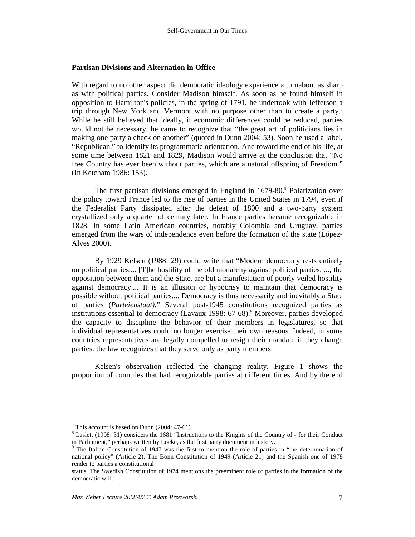#### **Partisan Divisions and Alternation in Office**

With regard to no other aspect did democratic ideology experience a turnabout as sharp as with political parties. Consider Madison himself. As soon as he found himself in opposition to Hamilton's policies, in the spring of 1791, he undertook with Jefferson a trip through New York and Vermont with no purpose other than to create a party.<sup>7</sup> While he still believed that ideally, if economic differences could be reduced, parties would not be necessary, he came to recognize that "the great art of politicians lies in making one party a check on another" (quoted in Dunn 2004: 53). Soon he used a label, "Republican," to identify its programmatic orientation. And toward the end of his life, at some time between 1821 and 1829, Madison would arrive at the conclusion that "No free Country has ever been without parties, which are a natural offspring of Freedom." (In Ketcham 1986: 153).

The first partisan divisions emerged in England in 1679-80.<sup>8</sup> Polarization over the policy toward France led to the rise of parties in the United States in 1794, even if the Federalist Party dissipated after the defeat of 1800 and a two-party system crystallized only a quarter of century later. In France parties became recognizable in 1828. In some Latin American countries, notably Colombia and Uruguay, parties emerged from the wars of independence even before the formation of the state (López-Alves 2000).

By 1929 Kelsen (1988: 29) could write that "Modern democracy rests entirely on political parties.... [T]he hostility of the old monarchy against political parties, ..., the opposition between them and the State, are but a manifestation of poorly veiled hostility against democracy.... It is an illusion or hypocrisy to maintain that democracy is possible without political parties.... Democracy is thus necessarily and inevitably a State of parties (*Parteienstaat).*" Several post-1945 constitutions recognized parties as institutions essential to democracy (Lavaux 1998: 67-68).<sup>9</sup> Moreover, parties developed the capacity to discipline the behavior of their members in legislatures, so that individual representatives could no longer exercise their own reasons. Indeed, in some countries representatives are legally compelled to resign their mandate if they change parties: the law recognizes that they serve only as party members.

Kelsen's observation reflected the changing reality. Figure 1 shows the proportion of countries that had recognizable parties at different times. And by the end

 $7$  This account is based on Dunn (2004: 47-61).

<sup>&</sup>lt;sup>8</sup> Laslett (1998: 31) considers the 1681 "Instructions to the Knights of the Country of - for their Conduct in Parliament," perhaps written by Locke, as the first party document in history.

<sup>&</sup>lt;sup>9</sup> The Italian Constitution of 1947 was the first to mention the role of parties in "the determination of national policy" (Article 2). The Bonn Constitution of 1949 (Article 21) and the Spanish one of 1978 render to parties a constitutional

status. The Swedish Constitution of 1974 mentions the preeminent role of parties in the formation of the democratic will.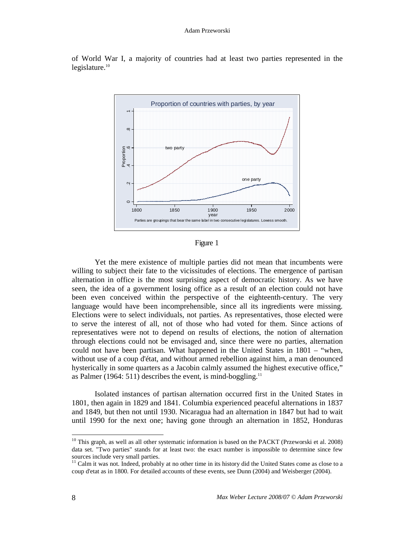

of World War I, a majority of countries had at least two parties represented in the  $legis$ lature. $10$ 

Figure 1

Yet the mere existence of multiple parties did not mean that incumbents were willing to subject their fate to the vicissitudes of elections. The emergence of partisan alternation in office is the most surprising aspect of democratic history. As we have seen, the idea of a government losing office as a result of an election could not have been even conceived within the perspective of the eighteenth-century. The very language would have been incomprehensible, since all its ingredients were missing. Elections were to select individuals, not parties. As representatives, those elected were to serve the interest of all, not of those who had voted for them. Since actions of representatives were not to depend on results of elections, the notion of alternation through elections could not be envisaged and, since there were no parties, alternation could not have been partisan. What happened in the United States in 1801 – "when, without use of a coup d'état, and without armed rebellion against him, a man denounced hysterically in some quarters as a Jacobin calmly assumed the highest executive office," as Palmer (1964: 511) describes the event, is mind-boggling.<sup>11</sup>

Isolated instances of partisan alternation occurred first in the United States in 1801, then again in 1829 and 1841. Columbia experienced peaceful alternations in 1837 and 1849, but then not until 1930. Nicaragua had an alternation in 1847 but had to wait until 1990 for the next one; having gone through an alternation in 1852, Honduras

 $10$  This graph, as well as all other systematic information is based on the PACKT (Przeworski et al. 2008) data set. "Two parties" stands for at least two: the exact number is impossible to determine since few sources include very small parties.

<sup>&</sup>lt;sup>11</sup> Calm it was not. Indeed, probably at no other time in its history did the United States come as close to a coup d'etat as in 1800. For detailed accounts of these events, see Dunn (2004) and Weisberger (2004).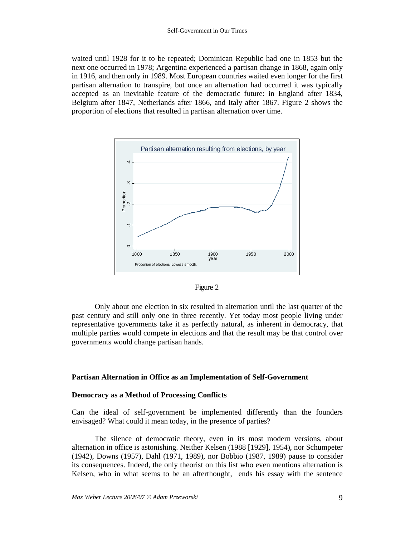waited until 1928 for it to be repeated; Dominican Republic had one in 1853 but the next one occurred in 1978; Argentina experienced a partisan change in 1868, again only in 1916, and then only in 1989. Most European countries waited even longer for the first partisan alternation to transpire, but once an alternation had occurred it was typically accepted as an inevitable feature of the democratic future: in England after 1834, Belgium after 1847, Netherlands after 1866, and Italy after 1867. Figure 2 shows the proportion of elections that resulted in partisan alternation over time.





Only about one election in six resulted in alternation until the last quarter of the past century and still only one in three recently. Yet today most people living under representative governments take it as perfectly natural, as inherent in democracy, that multiple parties would compete in elections and that the result may be that control over governments would change partisan hands.

#### **Partisan Alternation in Office as an Implementation of Self-Government**

#### **Democracy as a Method of Processing Conflicts**

Can the ideal of self-government be implemented differently than the founders envisaged? What could it mean today, in the presence of parties?

The silence of democratic theory, even in its most modern versions, about alternation in office is astonishing. Neither Kelsen (1988 [1929], 1954), nor Schumpeter (1942), Downs (1957), Dahl (1971, 1989), nor Bobbio (1987, 1989) pause to consider its consequences. Indeed, the only theorist on this list who even mentions alternation is Kelsen, who in what seems to be an afterthought, ends his essay with the sentence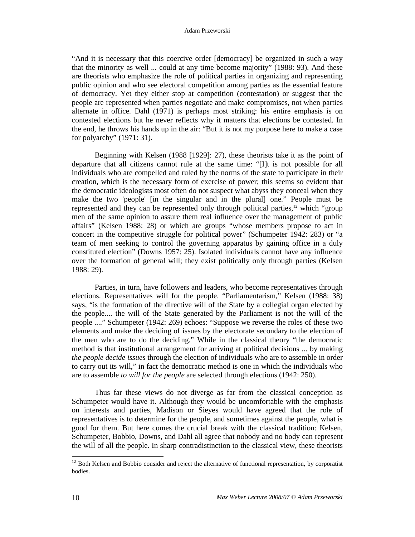#### Adam Przeworski

"And it is necessary that this coercive order [democracy] be organized in such a way that the minority as well ... could at any time become majority" (1988: 93). And these are theorists who emphasize the role of political parties in organizing and representing public opinion and who see electoral competition among parties as the essential feature of democracy. Yet they either stop at competition (contestation) or suggest that the people are represented when parties negotiate and make compromises, not when parties alternate in office. Dahl (1971) is perhaps most striking: his entire emphasis is on contested elections but he never reflects why it matters that elections be contested. In the end, he throws his hands up in the air: "But it is not my purpose here to make a case for polyarchy" (1971: 31).

Beginning with Kelsen (1988 [1929]: 27), these theorists take it as the point of departure that all citizens cannot rule at the same time: "[I]t is not possible for all individuals who are compelled and ruled by the norms of the state to participate in their creation, which is the necessary form of exercise of power; this seems so evident that the democratic ideologists most often do not suspect what abyss they conceal when they make the two 'people' [in the singular and in the plural] one." People must be represented and they can be represented only through political parties,<sup>12</sup> which "group" men of the same opinion to assure them real influence over the management of public affairs" (Kelsen 1988: 28) or which are groups "whose members propose to act in concert in the competitive struggle for political power" (Schumpeter 1942: 283) or "a team of men seeking to control the governing apparatus by gaining office in a duly constituted election" (Downs 1957: 25). Isolated individuals cannot have any influence over the formation of general will; they exist politically only through parties (Kelsen 1988: 29).

Parties, in turn, have followers and leaders, who become representatives through elections. Representatives will for the people. "Parliamentarism," Kelsen (1988: 38) says, "is the formation of the directive will of the State by a collegial organ elected by the people.... the will of the State generated by the Parliament is not the will of the people ...." Schumpeter (1942: 269) echoes: "Suppose we reverse the roles of these two elements and make the deciding of issues by the electorate secondary to the election of the men who are to do the deciding." While in the classical theory "the democratic method is that institutional arrangement for arriving at political decisions ... by making *the people decide issues* through the election of individuals who are to assemble in order to carry out its will," in fact the democratic method is one in which the individuals who are to assemble *to will for the people* are selected through elections (1942: 250).

Thus far these views do not diverge as far from the classical conception as Schumpeter would have it. Although they would be uncomfortable with the emphasis on interests and parties, Madison or Sieyes would have agreed that the role of representatives is to determine for the people, and sometimes against the people, what is good for them. But here comes the crucial break with the classical tradition: Kelsen, Schumpeter, Bobbio, Downs, and Dahl all agree that nobody and no body can represent the will of all the people. In sharp contradistinction to the classical view, these theorists

 $12$  Both Kelsen and Bobbio consider and reject the alternative of functional representation, by corporatist bodies.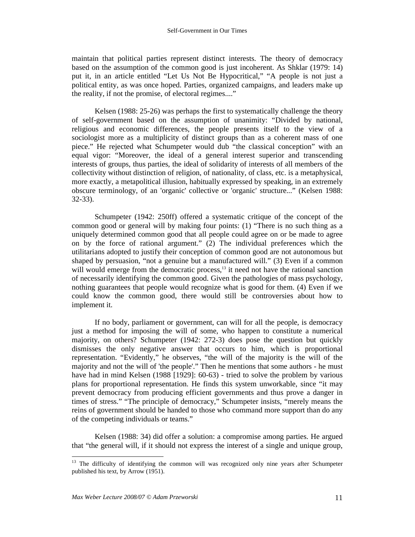maintain that political parties represent distinct interests. The theory of democracy based on the assumption of the common good is just incoherent. As Shklar (1979: 14) put it, in an article entitled "Let Us Not Be Hypocritical," "A people is not just a political entity, as was once hoped. Parties, organized campaigns, and leaders make up the reality, if not the promise, of electoral regimes...."

Kelsen (1988: 25-26) was perhaps the first to systematically challenge the theory of self-government based on the assumption of unanimity: "Divided by national, religious and economic differences, the people presents itself to the view of a sociologist more as a multiplicity of distinct groups than as a coherent mass of one piece." He rejected what Schumpeter would dub "the classical conception" with an equal vigor: "Moreover, the ideal of a general interest superior and transcending interests of groups, thus parties, the ideal of solidarity of interests of all members of the collectivity without distinction of religion, of nationality, of class, etc. is a metaphysical, more exactly, a metapolitical illusion, habitually expressed by speaking, in an extremely obscure terminology, of an 'organic' collective or 'organic' structure..." (Kelsen 1988: 32-33).

Schumpeter (1942: 250ff) offered a systematic critique of the concept of the common good or general will by making four points: (1) "There is no such thing as a uniquely determined common good that all people could agree on or be made to agree on by the force of rational argument." (2) The individual preferences which the utilitarians adopted to justify their conception of common good are not autonomous but shaped by persuasion, "not a genuine but a manufactured will." (3) Even if a common will would emerge from the democratic process,<sup>13</sup> it need not have the rational sanction of necessarily identifying the common good. Given the pathologies of mass psychology, nothing guarantees that people would recognize what is good for them. (4) Even if we could know the common good, there would still be controversies about how to implement it.

If no body, parliament or government, can will for all the people, is democracy just a method for imposing the will of some, who happen to constitute a numerical majority, on others? Schumpeter (1942: 272-3) does pose the question but quickly dismisses the only negative answer that occurs to him, which is proportional representation. "Evidently," he observes, "the will of the majority is the will of the majority and not the will of 'the people'." Then he mentions that some authors - he must have had in mind Kelsen (1988 [1929]: 60-63) - tried to solve the problem by various plans for proportional representation. He finds this system unworkable, since "it may prevent democracy from producing efficient governments and thus prove a danger in times of stress." "The principle of democracy," Schumpeter insists, "merely means the reins of government should be handed to those who command more support than do any of the competing individuals or teams."

Kelsen (1988: 34) did offer a solution: a compromise among parties. He argued that "the general will, if it should not express the interest of a single and unique group,

<sup>-</sup><sup>13</sup> The difficulty of identifying the common will was recognized only nine years after Schumpeter published his text, by Arrow (1951).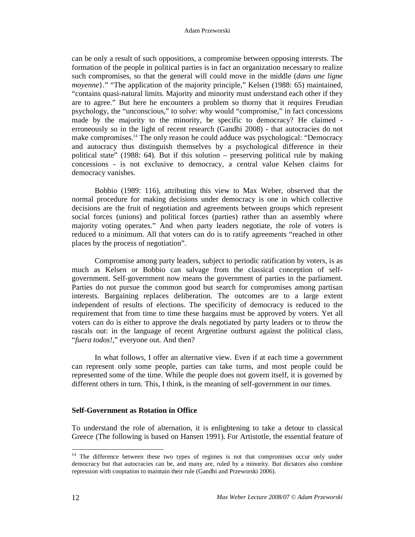can be only a result of such oppositions, a compromise between opposing interests. The formation of the people in political parties is in fact an organization necessary to realize such compromises, so that the general will could move in the middle (*dans une ligne moyenne*}." "The application of the majority principle," Kelsen (1988: 65) maintained, "contains quasi-natural limits. Majority and minority must understand each other if they are to agree." But here he encounters a problem so thorny that it requires Freudian psychology, the "unconscious," to solve: why would "compromise," in fact concessions made by the majority to the minority, be specific to democracy? He claimed erroneously so in the light of recent research (Gandhi 2008) - that autocracies do not make compromises.<sup>14</sup> The only reason he could adduce was psychological: "Democracy and autocracy thus distinguish themselves by a psychological difference in their political state" (1988: 64). But if this solution – preserving political rule by making concessions - is not exclusive to democracy, a central value Kelsen claims for democracy vanishes.

Bobbio (1989: 116), attributing this view to Max Weber, observed that the normal procedure for making decisions under democracy is one in which collective decisions are the fruit of negotiation and agreements between groups which represent social forces (unions) and political forces (parties) rather than an assembly where majority voting operates." And when party leaders negotiate, the role of voters is reduced to a minimum. All that voters can do is to ratify agreements "reached in other places by the process of negotiation".

Compromise among party leaders, subject to periodic ratification by voters, is as much as Kelsen or Bobbio can salvage from the classical conception of selfgovernment. Self-government now means the government of parties in the parliament. Parties do not pursue the common good but search for compromises among partisan interests. Bargaining replaces deliberation. The outcomes are to a large extent independent of results of elections. The specificity of democracy is reduced to the requirement that from time to time these bargains must be approved by voters. Yet all voters can do is either to approve the deals negotiated by party leaders or to throw the rascals out: in the language of recent Argentine outburst against the political class, "*fuera todos!*," everyone out. And then?

In what follows, I offer an alternative view. Even if at each time a government can represent only some people, parties can take turns, and most people could be represented some of the time. While the people does not govern itself, it is governed by different others in turn. This, I think, is the meaning of self-government in our times.

## **Self-Government as Rotation in Office**

To understand the role of alternation, it is enlightening to take a detour to classical Greece (The following is based on Hansen 1991). For Artistotle, the essential feature of

<sup>&</sup>lt;sup>14</sup> The difference between these two types of regimes is not that compromises occur only under democracy but that autocracies can be, and many are, ruled by a minority. But dictators also combine repression with cooptation to maintain their rule (Gandhi and Przeworski 2006).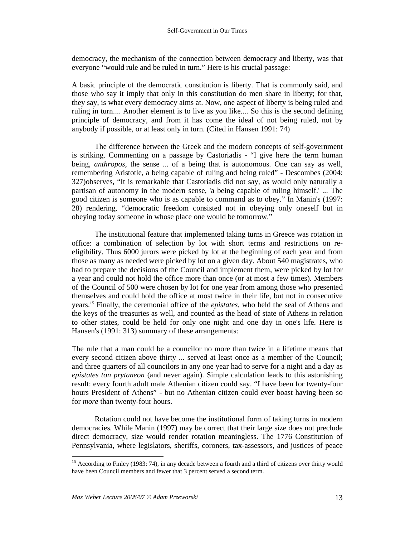democracy, the mechanism of the connection between democracy and liberty, was that everyone "would rule and be ruled in turn." Here is his crucial passage:

A basic principle of the democratic constitution is liberty. That is commonly said, and those who say it imply that only in this constitution do men share in liberty; for that, they say, is what every democracy aims at. Now, one aspect of liberty is being ruled and ruling in turn.... Another element is to live as you like.... So this is the second defining principle of democracy, and from it has come the ideal of not being ruled, not by anybody if possible, or at least only in turn. (Cited in Hansen 1991: 74)

The difference between the Greek and the modern concepts of self-government is striking. Commenting on a passage by Castoriadis - "I give here the term human being, *anthropos*, the sense ... of a being that is autonomous. One can say as well, remembering Aristotle, a being capable of ruling and being ruled" - Descombes (2004: 327)observes, "It is remarkable that Castoriadis did not say, as would only naturally a partisan of autonomy in the modern sense, 'a being capable of ruling himself.' ... The good citizen is someone who is as capable to command as to obey." In Manin's (1997: 28) rendering, "democratic freedom consisted not in obeying only oneself but in obeying today someone in whose place one would be tomorrow."

The institutional feature that implemented taking turns in Greece was rotation in office: a combination of selection by lot with short terms and restrictions on reeligibility. Thus 6000 jurors were picked by lot at the beginning of each year and from those as many as needed were picked by lot on a given day. About 540 magistrates, who had to prepare the decisions of the Council and implement them, were picked by lot for a year and could not hold the office more than once (or at most a few times). Members of the Council of 500 were chosen by lot for one year from among those who presented themselves and could hold the office at most twice in their life, but not in consecutive years.<sup>15</sup> Finally, the ceremonial office of the *epistates*, who held the seal of Athens and the keys of the treasuries as well, and counted as the head of state of Athens in relation to other states, could be held for only one night and one day in one's life. Here is Hansen's (1991: 313) summary of these arrangements:

The rule that a man could be a councilor no more than twice in a lifetime means that every second citizen above thirty ... served at least once as a member of the Council; and three quarters of all councilors in any one year had to serve for a night and a day as *epistates ton prytaneon* (and never again). Simple calculation leads to this astonishing result: every fourth adult male Athenian citizen could say. "I have been for twenty-four hours President of Athens" - but no Athenian citizen could ever boast having been so for *more* than twenty-four hours.

Rotation could not have become the institutional form of taking turns in modern democracies. While Manin (1997) may be correct that their large size does not preclude direct democracy, size would render rotation meaningless. The 1776 Constitution of Pennsylvania, where legislators, sheriffs, coroners, tax-assessors, and justices of peace

<sup>&</sup>lt;sup>15</sup> According to Finley (1983: 74), in any decade between a fourth and a third of citizens over thirty would have been Council members and fewer that 3 percent served a second term.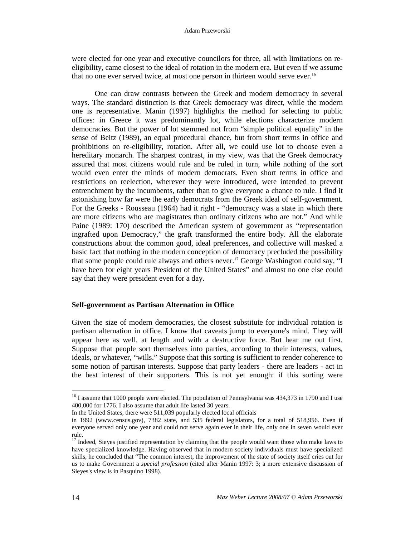were elected for one year and executive councilors for three, all with limitations on reeligibility, came closest to the ideal of rotation in the modern era. But even if we assume that no one ever served twice, at most one person in thirteen would serve ever.<sup>16</sup>

One can draw contrasts between the Greek and modern democracy in several ways. The standard distinction is that Greek democracy was direct, while the modern one is representative. Manin (1997) highlights the method for selecting to public offices: in Greece it was predominantly lot, while elections characterize modern democracies. But the power of lot stemmed not from "simple political equality" in the sense of Beitz (1989), an equal procedural chance, but from short terms in office and prohibitions on re-eligibility, rotation. After all, we could use lot to choose even a hereditary monarch. The sharpest contrast, in my view, was that the Greek democracy assured that most citizens would rule and be ruled in turn, while nothing of the sort would even enter the minds of modern democrats. Even short terms in office and restrictions on reelection, wherever they were introduced, were intended to prevent entrenchment by the incumbents, rather than to give everyone a chance to rule. I find it astonishing how far were the early democrats from the Greek ideal of self-government. For the Greeks - Rousseau (1964) had it right - "democracy was a state in which there are more citizens who are magistrates than ordinary citizens who are not." And while Paine (1989: 170) described the American system of government as "representation ingrafted upon Democracy," the graft transformed the entire body. All the elaborate constructions about the common good, ideal preferences, and collective will masked a basic fact that nothing in the modern conception of democracy precluded the possibility that some people could rule always and others never. <sup>17</sup> George Washington could say, "I have been for eight years President of the United States" and almost no one else could say that they were president even for a day.

#### **Self-government as Partisan Alternation in Office**

Given the size of modern democracies, the closest substitute for individual rotation is partisan alternation in office. I know that caveats jump to everyone's mind. They will appear here as well, at length and with a destructive force. But hear me out first. Suppose that people sort themselves into parties, according to their interests, values, ideals, or whatever, "wills." Suppose that this sorting is sufficient to render coherence to some notion of partisan interests. Suppose that party leaders - there are leaders - act in the best interest of their supporters. This is not yet enough: if this sorting were

<sup>&</sup>lt;sup>16</sup> I assume that 1000 people were elected. The population of Pennsylvania was 434,373 in 1790 and I use 400,000 for 1776. I also assume that adult life lasted 30 years.

In the United States, there were 511,039 popularly elected local officials

in 1992 (www.census.gov), 7382 state, and 535 federal legislators, for a total of 518,956. Even if everyone served only one year and could not serve again ever in their life, only one in seven would ever rule.

 $17$  Indeed, Sieyes justified representation by claiming that the people would want those who make laws to have specialized knowledge. Having observed that in modern society individuals must have specialized skills, he concluded that "The common interest, the improvement of the state of society itself cries out for us to make Government a *special profession* (cited after Manin 1997: 3; a more extensive discussion of Sieyes's view is in Pasquino 1998).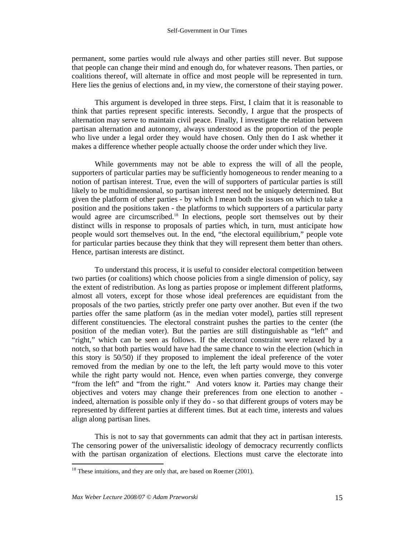permanent, some parties would rule always and other parties still never. But suppose that people can change their mind and enough do, for whatever reasons. Then parties, or coalitions thereof, will alternate in office and most people will be represented in turn. Here lies the genius of elections and, in my view, the cornerstone of their staying power.

This argument is developed in three steps. First, I claim that it is reasonable to think that parties represent specific interests. Secondly, I argue that the prospects of alternation may serve to maintain civil peace. Finally, I investigate the relation between partisan alternation and autonomy, always understood as the proportion of the people who live under a legal order they would have chosen. Only then do I ask whether it makes a difference whether people actually choose the order under which they live.

While governments may not be able to express the will of all the people, supporters of particular parties may be sufficiently homogeneous to render meaning to a notion of partisan interest. True, even the will of supporters of particular parties is still likely to be multidimensional, so partisan interest need not be uniquely determined. But given the platform of other parties - by which I mean both the issues on which to take a position and the positions taken - the platforms to which supporters of a particular party would agree are circumscribed.<sup>18</sup> In elections, people sort themselves out by their distinct wills in response to proposals of parties which, in turn, must anticipate how people would sort themselves out. In the end, "the electoral equilibrium," people vote for particular parties because they think that they will represent them better than others. Hence, partisan interests are distinct.

To understand this process, it is useful to consider electoral competition between two parties (or coalitions) which choose policies from a single dimension of policy, say the extent of redistribution. As long as parties propose or implement different platforms, almost all voters, except for those whose ideal preferences are equidistant from the proposals of the two parties, strictly prefer one party over another. But even if the two parties offer the same platform (as in the median voter model), parties still represent different constituencies. The electoral constraint pushes the parties to the center (the position of the median voter). But the parties are still distinguishable as "left" and "right," which can be seen as follows. If the electoral constraint were relaxed by a notch, so that both parties would have had the same chance to win the election (which in this story is 50/50) if they proposed to implement the ideal preference of the voter removed from the median by one to the left, the left party would move to this voter while the right party would not. Hence, even when parties converge, they converge "from the left" and "from the right." And voters know it. Parties may change their objectives and voters may change their preferences from one election to another indeed, alternation is possible only if they do - so that different groups of voters may be represented by different parties at different times. But at each time, interests and values align along partisan lines.

This is not to say that governments can admit that they act in partisan interests. The censoring power of the universalistic ideology of democracy recurrently conflicts with the partisan organization of elections. Elections must carve the electorate into

 $18$  These intuitions, and they are only that, are based on Roemer (2001).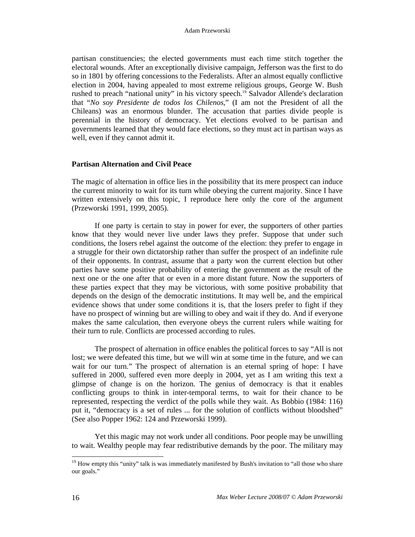partisan constituencies; the elected governments must each time stitch together the electoral wounds. After an exceptionally divisive campaign, Jefferson was the first to do so in 1801 by offering concessions to the Federalists. After an almost equally conflictive election in 2004, having appealed to most extreme religious groups, George W. Bush rushed to preach "national unity" in his victory speech.<sup>19</sup> Salvador Allende's declaration that "*No soy Presidente de todos los Chilenos*," (I am not the President of all the Chileans) was an enormous blunder. The accusation that parties divide people is perennial in the history of democracy. Yet elections evolved to be partisan and governments learned that they would face elections, so they must act in partisan ways as well, even if they cannot admit it.

#### **Partisan Alternation and Civil Peace**

The magic of alternation in office lies in the possibility that its mere prospect can induce the current minority to wait for its turn while obeying the current majority. Since I have written extensively on this topic, I reproduce here only the core of the argument (Przeworski 1991, 1999, 2005).

If one party is certain to stay in power for ever, the supporters of other parties know that they would never live under laws they prefer. Suppose that under such conditions, the losers rebel against the outcome of the election: they prefer to engage in a struggle for their own dictatorship rather than suffer the prospect of an indefinite rule of their opponents. In contrast, assume that a party won the current election but other parties have some positive probability of entering the government as the result of the next one or the one after that or even in a more distant future. Now the supporters of these parties expect that they may be victorious, with some positive probability that depends on the design of the democratic institutions. It may well be, and the empirical evidence shows that under some conditions it is, that the losers prefer to fight if they have no prospect of winning but are willing to obey and wait if they do. And if everyone makes the same calculation, then everyone obeys the current rulers while waiting for their turn to rule. Conflicts are processed according to rules.

The prospect of alternation in office enables the political forces to say "All is not lost; we were defeated this time, but we will win at some time in the future, and we can wait for our turn." The prospect of alternation is an eternal spring of hope: I have suffered in 2000, suffered even more deeply in 2004, yet as I am writing this text a glimpse of change is on the horizon. The genius of democracy is that it enables conflicting groups to think in inter-temporal terms, to wait for their chance to be represented, respecting the verdict of the polls while they wait. As Bobbio (1984: 116) put it, "democracy is a set of rules ... for the solution of conflicts without bloodshed" (See also Popper 1962: 124 and Przeworski 1999).

Yet this magic may not work under all conditions. Poor people may be unwilling to wait. Wealthy people may fear redistributive demands by the poor. The military may

<sup>&</sup>lt;sup>19</sup> How empty this "unity" talk is was immediately manifested by Bush's invitation to "all those who share our goals."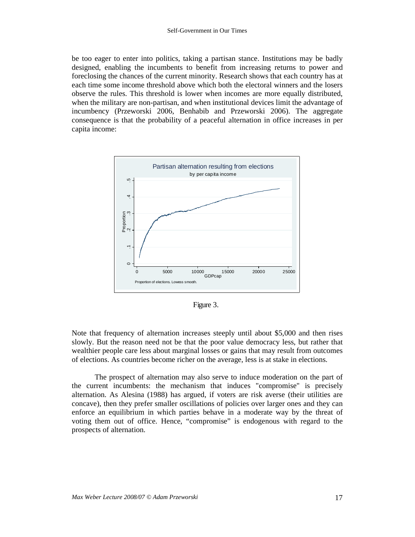be too eager to enter into politics, taking a partisan stance. Institutions may be badly designed, enabling the incumbents to benefit from increasing returns to power and foreclosing the chances of the current minority. Research shows that each country has at each time some income threshold above which both the electoral winners and the losers observe the rules. This threshold is lower when incomes are more equally distributed, when the military are non-partisan, and when institutional devices limit the advantage of incumbency (Przeworski 2006, Benhabib and Przeworski 2006). The aggregate consequence is that the probability of a peaceful alternation in office increases in per capita income:



Figure 3.

Note that frequency of alternation increases steeply until about \$5,000 and then rises slowly. But the reason need not be that the poor value democracy less, but rather that wealthier people care less about marginal losses or gains that may result from outcomes of elections. As countries become richer on the average, less is at stake in elections.

The prospect of alternation may also serve to induce moderation on the part of the current incumbents: the mechanism that induces "compromise" is precisely alternation. As Alesina (1988) has argued, if voters are risk averse (their utilities are concave), then they prefer smaller oscillations of policies over larger ones and they can enforce an equilibrium in which parties behave in a moderate way by the threat of voting them out of office. Hence, "compromise" is endogenous with regard to the prospects of alternation.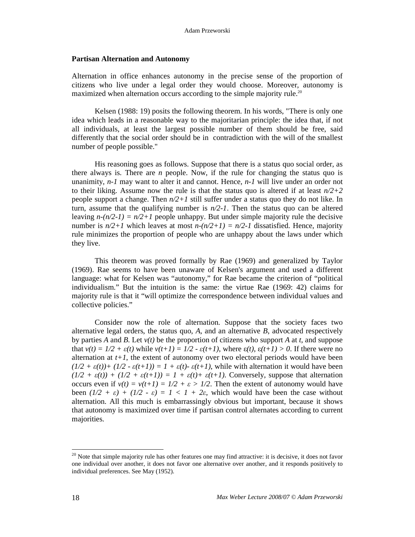#### **Partisan Alternation and Autonomy**

Alternation in office enhances autonomy in the precise sense of the proportion of citizens who live under a legal order they would choose. Moreover, autonomy is maximized when alternation occurs according to the simple majority rule.<sup>20</sup>

Kelsen (1988: 19) posits the following theorem. In his words, "There is only one idea which leads in a reasonable way to the majoritarian principle: the idea that, if not all individuals, at least the largest possible number of them should be free, said differently that the social order should be in contradiction with the will of the smallest number of people possible."

His reasoning goes as follows. Suppose that there is a status quo social order, as there always is. There are *n* people. Now, if the rule for changing the status quo is unanimity, *n-1* may want to alter it and cannot. Hence, *n-1* will live under an order not to their liking. Assume now the rule is that the status quo is altered if at least  $n/2+2$ people support a change. Then  $n/2+1$  still suffer under a status quo they do not like. In turn, assume that the qualifying number is  $n/2-1$ . Then the status quo can be altered leaving  $n-(n/2-1) = n/2+1$  people unhappy. But under simple majority rule the decisive number is  $n/2+1$  which leaves at most  $n-(n/2+1) = n/2-1$  dissatisfied. Hence, majority rule minimizes the proportion of people who are unhappy about the laws under which they live.

This theorem was proved formally by Rae (1969) and generalized by Taylor (1969). Rae seems to have been unaware of Kelsen's argument and used a different language: what for Kelsen was "autonomy," for Rae became the criterion of "political individualism." But the intuition is the same: the virtue Rae (1969: 42) claims for majority rule is that it "will optimize the correspondence between individual values and collective policies."

Consider now the role of alternation. Suppose that the society faces two alternative legal orders, the status quo, *A*, and an alternative *B*, advocated respectively by parties *A* and *B*. Let *v(t)* be the proportion of citizens who support *A* at *t*, and suppose that  $v(t) = 1/2 + \varepsilon(t)$  while  $v(t+1) = 1/2 - \varepsilon(t+1)$ , where  $\varepsilon(t)$ ,  $\varepsilon(t+1) > 0$ . If there were no alternation at  $t+1$ , the extent of autonomy over two electoral periods would have been  $(1/2 + \varepsilon(t))$  +  $(1/2 - \varepsilon(t+1)) = 1 + \varepsilon(t) - \varepsilon(t+1)$ , while with alternation it would have been  $(1/2 + \varepsilon(t)) + (1/2 + \varepsilon(t+1)) = 1 + \varepsilon(t) + \varepsilon(t+1)$ . Conversely, suppose that alternation occurs even if  $v(t) = v(t+1) = 1/2 + \varepsilon > 1/2$ . Then the extent of autonomy would have been  $(l/2 + \varepsilon) + (l/2 - \varepsilon) = l < l + 2\varepsilon$ , which would have been the case without alternation. All this much is embarrassingly obvious but important, because it shows that autonomy is maximized over time if partisan control alternates according to current majorities.

 $20$  Note that simple majority rule has other features one may find attractive: it is decisive, it does not favor one individual over another, it does not favor one alternative over another, and it responds positively to individual preferences. See May (1952).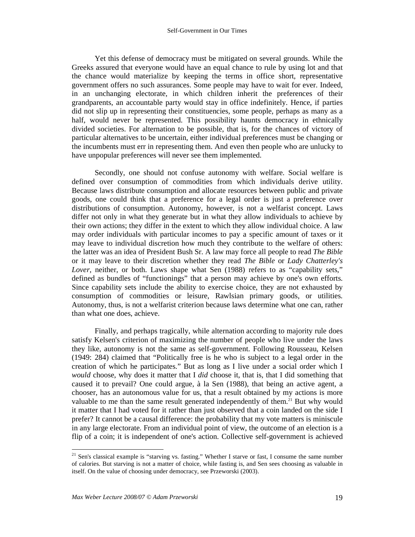Yet this defense of democracy must be mitigated on several grounds. While the Greeks assured that everyone would have an equal chance to rule by using lot and that the chance would materialize by keeping the terms in office short, representative government offers no such assurances. Some people may have to wait for ever. Indeed, in an unchanging electorate, in which children inherit the preferences of their grandparents, an accountable party would stay in office indefinitely. Hence, if parties did not slip up in representing their constituencies, some people, perhaps as many as a half, would never be represented. This possibility haunts democracy in ethnically divided societies. For alternation to be possible, that is, for the chances of victory of particular alternatives to be uncertain, either individual preferences must be changing or the incumbents must err in representing them. And even then people who are unlucky to have unpopular preferences will never see them implemented.

Secondly, one should not confuse autonomy with welfare. Social welfare is defined over consumption of commodities from which individuals derive utility. Because laws distribute consumption and allocate resources between public and private goods, one could think that a preference for a legal order is just a preference over distributions of consumption. Autonomy, however, is not a welfarist concept. Laws differ not only in what they generate but in what they allow individuals to achieve by their own actions; they differ in the extent to which they allow individual choice. A law may order individuals with particular incomes to pay a specific amount of taxes or it may leave to individual discretion how much they contribute to the welfare of others: the latter was an idea of President Bush Sr. A law may force all people to read *The Bible* or it may leave to their discretion whether they read *The Bible* or *Lady Chatterley's Lover*, neither, or both. Laws shape what Sen (1988) refers to as "capability sets," defined as bundles of "functionings" that a person may achieve by one's own efforts. Since capability sets include the ability to exercise choice, they are not exhausted by consumption of commodities or leisure, Rawlsian primary goods, or utilities. Autonomy, thus, is not a welfarist criterion because laws determine what one can, rather than what one does, achieve.

Finally, and perhaps tragically, while alternation according to majority rule does satisfy Kelsen's criterion of maximizing the number of people who live under the laws they like, autonomy is not the same as self-government. Following Rousseau, Kelsen (1949: 284) claimed that "Politically free is he who is subject to a legal order in the creation of which he participates." But as long as I live under a social order which I *would* choose, why does it matter that I *did* choose it, that is, that I did something that caused it to prevail? One could argue, à la Sen (1988), that being an active agent, a chooser, has an autonomous value for us, that a result obtained by my actions is more valuable to me than the same result generated independently of them.<sup>21</sup> But why would it matter that I had voted for it rather than just observed that a coin landed on the side I prefer? It cannot be a causal difference: the probability that my vote matters is miniscule in any large electorate. From an individual point of view, the outcome of an election is a flip of a coin; it is independent of one's action. Collective self-government is achieved

 $21$  Sen's classical example is "starving vs. fasting." Whether I starve or fast, I consume the same number of calories. But starving is not a matter of choice, while fasting is, and Sen sees choosing as valuable in itself. On the value of choosing under democracy, see Przeworski (2003).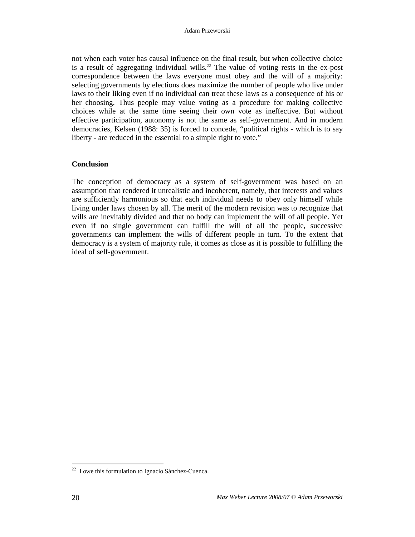not when each voter has causal influence on the final result, but when collective choice is a result of aggregating individual wills.<sup>22</sup> The value of voting rests in the ex-post correspondence between the laws everyone must obey and the will of a majority: selecting governments by elections does maximize the number of people who live under laws to their liking even if no individual can treat these laws as a consequence of his or her choosing. Thus people may value voting as a procedure for making collective choices while at the same time seeing their own vote as ineffective. But without effective participation, autonomy is not the same as self-government. And in modern democracies, Kelsen (1988: 35) is forced to concede, "political rights - which is to say liberty - are reduced in the essential to a simple right to vote."

#### **Conclusion**

The conception of democracy as a system of self-government was based on an assumption that rendered it unrealistic and incoherent, namely, that interests and values are sufficiently harmonious so that each individual needs to obey only himself while living under laws chosen by all. The merit of the modern revision was to recognize that wills are inevitably divided and that no body can implement the will of all people. Yet even if no single government can fulfill the will of all the people, successive governments can implement the wills of different people in turn. To the extent that democracy is a system of majority rule, it comes as close as it is possible to fulfilling the ideal of self-government.

 $22$  I owe this formulation to Ignacio Sànchez-Cuenca.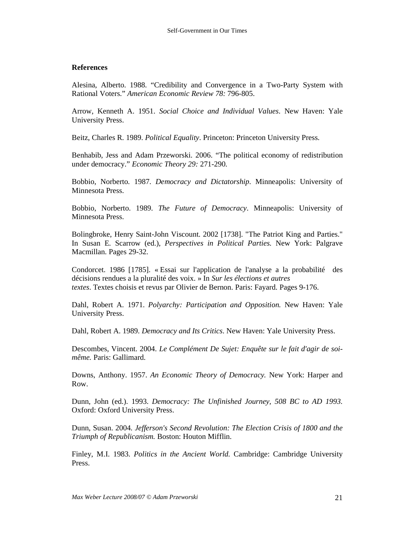## **References**

Alesina, Alberto. 1988. "Credibility and Convergence in a Two-Party System with Rational Voters." *American Economic Review 78:* 796-805.

Arrow, Kenneth A. 1951. *Social Choice and Individual Values*. New Haven: Yale University Press.

Beitz, Charles R. 1989. *Political Equality*. Princeton: Princeton University Press.

Benhabib, Jess and Adam Przeworski. 2006. "The political economy of redistribution under democracy." *Economic Theory 29:* 271-290.

Bobbio, Norberto. 1987. *Democracy and Dictatorship*. Minneapolis: University of Minnesota Press.

Bobbio, Norberto. 1989. *The Future of Democracy*. Minneapolis: University of Minnesota Press.

Bolingbroke, Henry Saint-John Viscount. 2002 [1738]. "The Patriot King and Parties." In Susan E. Scarrow (ed.), *Perspectives in Political Parties.* New York: Palgrave Macmillan. Pages 29-32.

Condorcet. 1986 [1785]. « Essai sur l'application de l'analyse a la probabilité des décisions rendues a la pluralité des voix. » In *Sur les élections et autres textes*. Textes choisis et revus par Olivier de Bernon. Paris: Fayard. Pages 9-176.

Dahl, Robert A. 1971. *Polyarchy: Participation and Opposition.* New Haven: Yale University Press.

Dahl, Robert A. 1989. *Democracy and Its Critics*. New Haven: Yale University Press.

Descombes, Vincent. 2004. *Le Complément De Sujet: Enquête sur le fait d'agir de soimême.* Paris: Gallimard.

Downs, Anthony. 1957. *An Economic Theory of Democracy.* New York: Harper and Row.

Dunn, John (ed.). 1993. *Democracy: The Unfinished Journey, 508 BC to AD 1993.* Oxford: Oxford University Press.

Dunn, Susan. 2004. *Jefferson's Second Revolution: The Election Crisis of 1800 and the Triumph of Republicanism.* Boston: Houton Mifflin.

Finley, M.I. 1983. *Politics in the Ancient World.* Cambridge: Cambridge University Press.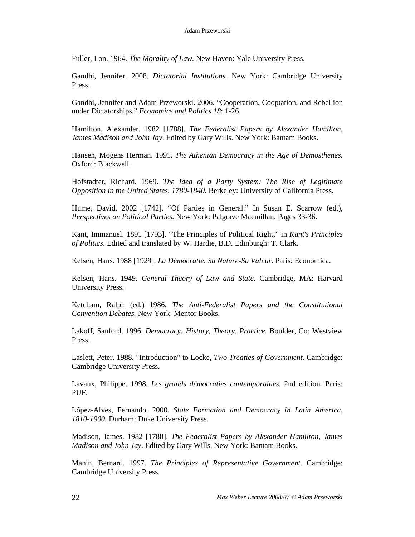Fuller, Lon. 1964. *The Morality of Law.* New Haven: Yale University Press.

Gandhi, Jennifer. 2008. *Dictatorial Institutions.* New York: Cambridge University Press.

Gandhi, Jennifer and Adam Przeworski. 2006. "Cooperation, Cooptation, and Rebellion under Dictatorships." *Economics and Politics 18*: 1-26.

Hamilton, Alexander. 1982 [1788]. *The Federalist Papers by Alexander Hamilton, James Madison and John Jay*. Edited by Gary Wills. New York: Bantam Books.

Hansen, Mogens Herman. 1991. *The Athenian Democracy in the Age of Demosthenes.* Oxford: Blackwell.

Hofstadter, Richard. 1969. *The Idea of a Party System: The Rise of Legitimate Opposition in the United States, 1780-1840*. Berkeley: University of California Press.

Hume, David. 2002 [1742]. "Of Parties in General." In Susan E. Scarrow (ed.), *Perspectives on Political Parties.* New York: Palgrave Macmillan. Pages 33-36.

Kant, Immanuel. 1891 [1793]. "The Principles of Political Right," in *Kant's Principles of Politics*. Edited and translated by W. Hardie, B.D. Edinburgh: T. Clark.

Kelsen, Hans. 1988 [1929]. *La Démocratie. Sa Nature-Sa Valeur*. Paris: Economica.

Kelsen, Hans. 1949. *General Theory of Law and State*. Cambridge, MA: Harvard University Press.

Ketcham, Ralph (ed.) 1986. *The Anti-Federalist Papers and the Constitutional Convention Debates.* New York: Mentor Books.

Lakoff, Sanford. 1996. *Democracy: History, Theory, Practice.* Boulder, Co: Westview Press.

Laslett, Peter. 1988. "Introduction" to Locke, *Two Treaties of Government*. Cambridge: Cambridge University Press.

Lavaux, Philippe. 1998. *Les grands démocraties contemporaines.* 2nd edition. Paris: PUF.

López-Alves, Fernando. 2000. *State Formation and Democracy in Latin America, 1810-1900.* Durham: Duke University Press.

Madison, James. 1982 [1788]. *The Federalist Papers by Alexander Hamilton, James Madison and John Jay*. Edited by Gary Wills. New York: Bantam Books.

Manin, Bernard. 1997. *The Principles of Representative Government*. Cambridge: Cambridge University Press.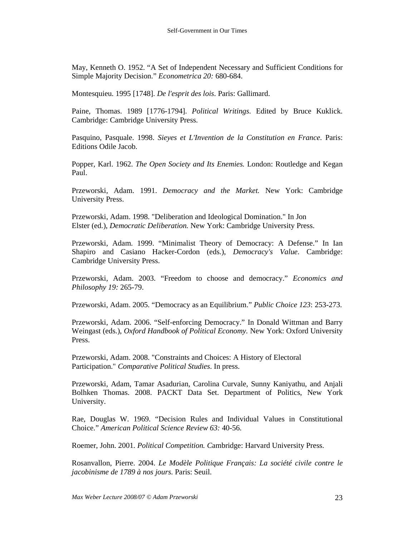May, Kenneth O. 1952. "A Set of Independent Necessary and Sufficient Conditions for Simple Majority Decision." *Econometrica 20:* 680-684.

Montesquieu. 1995 [1748]. *De l'esprit des lois*. Paris: Gallimard.

Paine, Thomas. 1989 [1776-1794]. *Political Writings.* Edited by Bruce Kuklick. Cambridge: Cambridge University Press.

Pasquino, Pasquale. 1998. *Sieyes et L'Invention de la Constitution en France.* Paris: Editions Odile Jacob.

Popper, Karl. 1962. *The Open Society and Its Enemies.* London: Routledge and Kegan Paul.

Przeworski, Adam. 1991. *Democracy and the Market.* New York: Cambridge University Press.

Przeworski, Adam. 1998. "Deliberation and Ideological Domination." In Jon Elster (ed.), *Democratic Deliberation.* New York: Cambridge University Press.

Przeworski, Adam. 1999. "Minimalist Theory of Democracy: A Defense." In Ian Shapiro and Casiano Hacker-Cordon (eds.), *Democracy's Value*. Cambridge: Cambridge University Press.

Przeworski, Adam. 2003. "Freedom to choose and democracy." *Economics and Philosophy 19:* 265-79.

Przeworski, Adam. 2005. "Democracy as an Equilibrium." *Public Choice 123*: 253-273.

Przeworski, Adam. 2006. "Self-enforcing Democracy." In Donald Wittman and Barry Weingast (eds.), *Oxford Handbook of Political Economy.* New York: Oxford University Press.

Przeworski, Adam. 2008. "Constraints and Choices: A History of Electoral Participation." *Comparative Political Studies*. In press.

Przeworski, Adam, Tamar Asadurian, Carolina Curvale, Sunny Kaniyathu, and Anjali Bolhken Thomas. 2008. PACKT Data Set. Department of Politics, New York University.

Rae, Douglas W. 1969. "Decision Rules and Individual Values in Constitutional Choice." *American Political Science Review 63:* 40-56.

Roemer, John. 2001. *Political Competition. C*ambridge: Harvard University Press.

Rosanvallon, Pierre. 2004. *Le Modèle Politique Français: La société civile contre le jacobinisme de 1789 à nos jours*. Paris: Seuil.